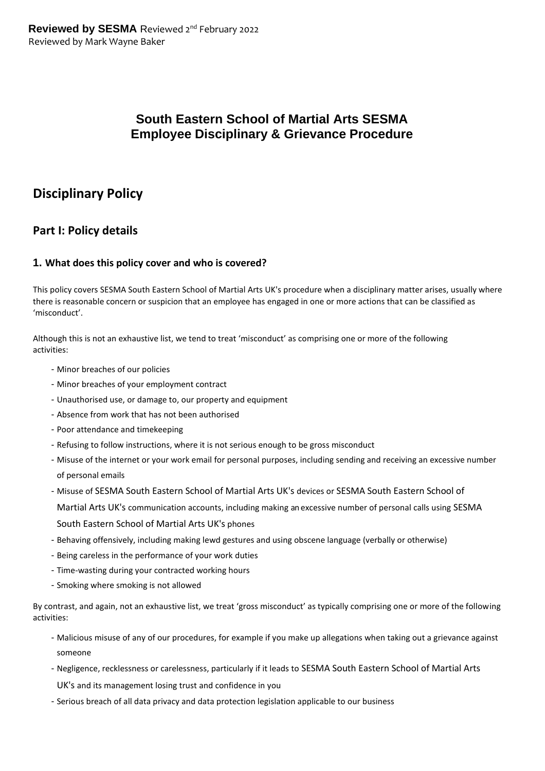# **South Eastern School of Martial Arts SESMA Employee Disciplinary & Grievance Procedure**

# **Disciplinary Policy**

# **Part I: Policy details**

#### **1. What does this policy cover and who is covered?**

This policy covers SESMA South Eastern School of Martial Arts UK's procedure when a disciplinary matter arises, usually where there is reasonable concern or suspicion that an employee has engaged in one or more actions that can be classified as 'misconduct'.

Although this is not an exhaustive list, we tend to treat 'misconduct' as comprising one or more of the following activities:

- Minor breaches of our policies
- Minor breaches of your employment contract
- Unauthorised use, or damage to, our property and equipment
- Absence from work that has not been authorised
- Poor attendance and timekeeping
- Refusing to follow instructions, where it is not serious enough to be gross misconduct
- Misuse of the internet or your work email for personal purposes, including sending and receiving an excessive number of personal emails
- Misuse of SESMA South Eastern School of Martial Arts UK's devices or SESMA South Eastern School of

Martial Arts UK's communication accounts, including making an excessive number of personal calls using SESMA South Eastern School of Martial Arts UK's phones

- Behaving offensively, including making lewd gestures and using obscene language (verbally or otherwise)
- Being careless in the performance of your work duties
- Time-wasting during your contracted working hours
- Smoking where smoking is not allowed

By contrast, and again, not an exhaustive list, we treat 'gross misconduct' as typically comprising one or more of the following activities:

- Malicious misuse of any of our procedures, for example if you make up allegations when taking out a grievance against someone
- Negligence, recklessness or carelessness, particularly if it leads to SESMA South Eastern School of Martial Arts

UK's and its management losing trust and confidence in you

- Serious breach of all data privacy and data protection legislation applicable to our business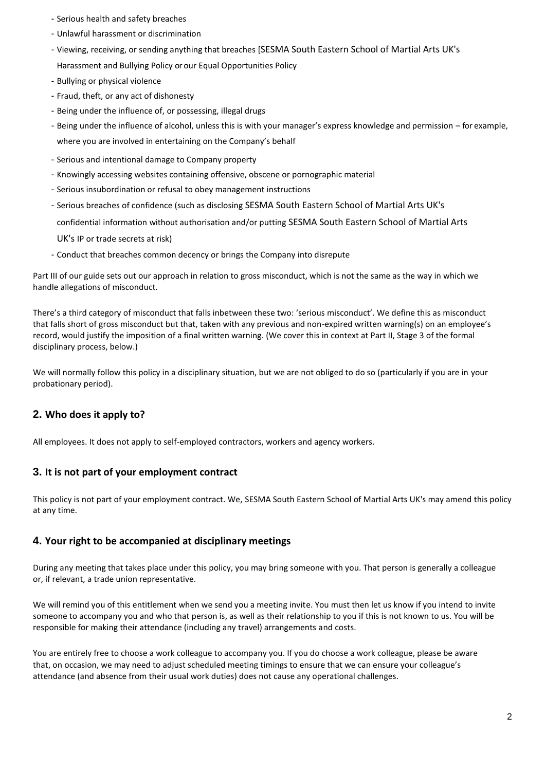- Serious health and safety breaches
- Unlawful harassment or discrimination
- Viewing, receiving, or sending anything that breaches [SESMA South Eastern School of Martial Arts UK's Harassment and Bullying Policy or our Equal Opportunities Policy
- Bullying or physical violence
- Fraud, theft, or any act of dishonesty
- Being under the influence of, or possessing, illegal drugs
- Being under the influence of alcohol, unless this is with your manager's express knowledge and permission for example, where you are involved in entertaining on the Company's behalf
- Serious and intentional damage to Company property
- Knowingly accessing websites containing offensive, obscene or pornographic material
- Serious insubordination or refusal to obey management instructions
- Serious breaches of confidence (such as disclosing SESMA South Eastern School of Martial Arts UK's

confidential information without authorisation and/or putting SESMA South Eastern School of Martial Arts

UK's IP or trade secrets at risk)

- Conduct that breaches common decency or brings the Company into disrepute

Part III of our guide sets out our approach in relation to gross misconduct, which is not the same as the way in which we handle allegations of misconduct.

There's a third category of misconduct that falls inbetween these two: 'serious misconduct'. We define this as misconduct that falls short of gross misconduct but that, taken with any previous and non-expired written warning(s) on an employee's record, would justify the imposition of a final written warning. (We cover this in context at Part II, Stage 3 of the formal disciplinary process, below.)

We will normally follow this policy in a disciplinary situation, but we are not obliged to do so (particularly if you are in your probationary period).

# **2. Who does it apply to?**

All employees. It does not apply to self-employed contractors, workers and agency workers.

## **3. It is not part of your employment contract**

This policy is not part of your employment contract. We, SESMA South Eastern School of Martial Arts UK's may amend this policy at any time.

## **4. Your right to be accompanied at disciplinary meetings**

During any meeting that takes place under this policy, you may bring someone with you. That person is generally a colleague or, if relevant, a trade union representative.

We will remind you of this entitlement when we send you a meeting invite. You must then let us know if you intend to invite someone to accompany you and who that person is, as well as their relationship to you if this is not known to us. You will be responsible for making their attendance (including any travel) arrangements and costs.

You are entirely free to choose a work colleague to accompany you. If you do choose a work colleague, please be aware that, on occasion, we may need to adjust scheduled meeting timings to ensure that we can ensure your colleague's attendance (and absence from their usual work duties) does not cause any operational challenges.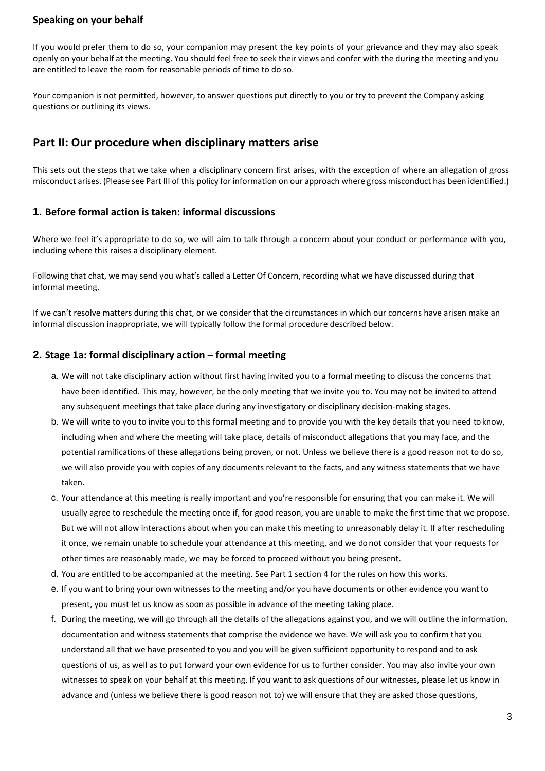#### **Speaking on your behalf**

If you would prefer them to do so, your companion may present the key points of your grievance and they may also speak openly on your behalf at the meeting. You should feel free to seek their views and confer with the during the meeting and you are entitled to leave the room for reasonable periods of time to do so.

Your companion is not permitted, however, to answer questions put directly to you or try to prevent the Company asking questions or outlining its views.

# **Part II: Our procedure when disciplinary matters arise**

This sets out the steps that we take when a disciplinary concern first arises, with the exception of where an allegation of gross misconduct arises. (Please see Part III of this policy for information on our approach where gross misconduct has been identified.)

#### **1. Before formal action is taken: informal discussions**

Where we feel it's appropriate to do so, we will aim to talk through a concern about your conduct or performance with you, including where this raises a disciplinary element.

Following that chat, we may send you what's called a Letter Of Concern, recording what we have discussed during that informal meeting.

If we can't resolve matters during this chat, or we consider that the circumstances in which our concerns have arisen make an informal discussion inappropriate, we will typically follow the formal procedure described below.

#### **2. Stage 1a: formal disciplinary action – formal meeting**

- a. We will not take disciplinary action without first having invited you to a formal meeting to discuss the concerns that have been identified. This may, however, be the only meeting that we invite you to. You may not be invited to attend any subsequent meetings that take place during any investigatory or disciplinary decision-making stages.
- b. We will write to you to invite you to this formal meeting and to provide you with the key details that you need to know, including when and where the meeting will take place, details of misconduct allegations that you may face, and the potential ramifications of these allegations being proven, or not. Unless we believe there is a good reason not to do so, we will also provide you with copies of any documents relevant to the facts, and any witness statements that we have taken.
- c. Your attendance at this meeting is really important and you're responsible for ensuring that you can make it. We will usually agree to reschedule the meeting once if, for good reason, you are unable to make the first time that we propose. But we will not allow interactions about when you can make this meeting to unreasonably delay it. If after rescheduling it once, we remain unable to schedule your attendance at this meeting, and we do not consider that your requests for other times are reasonably made, we may be forced to proceed without you being present.
- d. You are entitled to be accompanied at the meeting. See Part 1 section 4 for the rules on how this works.
- e. If you want to bring your own witnesses to the meeting and/or you have documents or other evidence you want to present, you must let us know as soon as possible in advance of the meeting taking place.
- f. During the meeting, we will go through all the details of the allegations against you, and we will outline the information, documentation and witness statements that comprise the evidence we have. We will ask you to confirm that you understand all that we have presented to you and you will be given sufficient opportunity to respond and to ask questions of us, as well as to put forward your own evidence for us to further consider. You may also invite your own witnesses to speak on your behalf at this meeting. If you want to ask questions of our witnesses, please let us know in advance and (unless we believe there is good reason not to) we will ensure that they are asked those questions,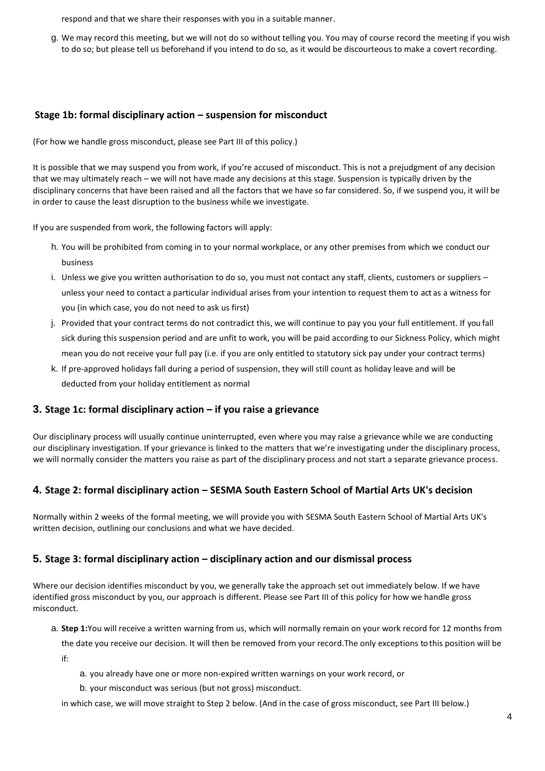respond and that we share their responses with you in a suitable manner.

g. We may record this meeting, but we will not do so without telling you. You may of course record the meeting if you wish to do so; but please tell us beforehand if you intend to do so, as it would be discourteous to make a covert recording.

### **Stage 1b: formal disciplinary action – suspension for misconduct**

(For how we handle gross misconduct, please see Part III of this policy.)

It is possible that we may suspend you from work, if you're accused of misconduct. This is not a prejudgment of any decision that we may ultimately reach – we will not have made any decisions at this stage. Suspension is typically driven by the disciplinary concerns that have been raised and all the factors that we have so far considered. So, if we suspend you, it will be in order to cause the least disruption to the business while we investigate.

If you are suspended from work, the following factors will apply:

- h. You will be prohibited from coming in to your normal workplace, or any other premises from which we conduct our business
- i. Unless we give you written authorisation to do so, you must not contact any staff, clients, customers or suppliers unless your need to contact a particular individual arises from your intention to request them to act as a witness for you (in which case, you do not need to ask us first)
- j. Provided that your contract terms do not contradict this, we will continue to pay you your full entitlement. If you fall sick during this suspension period and are unfit to work, you will be paid according to our Sickness Policy, which might mean you do not receive your full pay (i.e. if you are only entitled to statutory sick pay under your contract terms)
- k. If pre-approved holidays fall during a period of suspension, they will still count as holiday leave and will be deducted from your holiday entitlement as normal

## **3. Stage 1c: formal disciplinary action – if you raise a grievance**

Our disciplinary process will usually continue uninterrupted, even where you may raise a grievance while we are conducting our disciplinary investigation. If your grievance is linked to the matters that we're investigating under the disciplinary process, we will normally consider the matters you raise as part of the disciplinary process and not start a separate grievance process.

## **4. Stage 2: formal disciplinary action – SESMA South Eastern School of Martial Arts UK's decision**

Normally within 2 weeks of the formal meeting, we will provide you with SESMA South Eastern School of Martial Arts UK's written decision, outlining our conclusions and what we have decided.

#### **5. Stage 3: formal disciplinary action – disciplinary action and our dismissal process**

Where our decision identifies misconduct by you, we generally take the approach set out immediately below. If we have identified gross misconduct by you, our approach is different. Please see Part III of this policy for how we handle gross misconduct.

a. **Step 1:**You will receive a written warning from us, which will normally remain on your work record for 12 months from

the date you receive our decision. It will then be removed from your record.The only exceptions to this position will be if:

- a. you already have one or more non-expired written warnings on your work record, or
- b. your misconduct was serious (but not gross) misconduct.

in which case, we will move straight to Step 2 below. (And in the case of gross misconduct, see Part III below.)